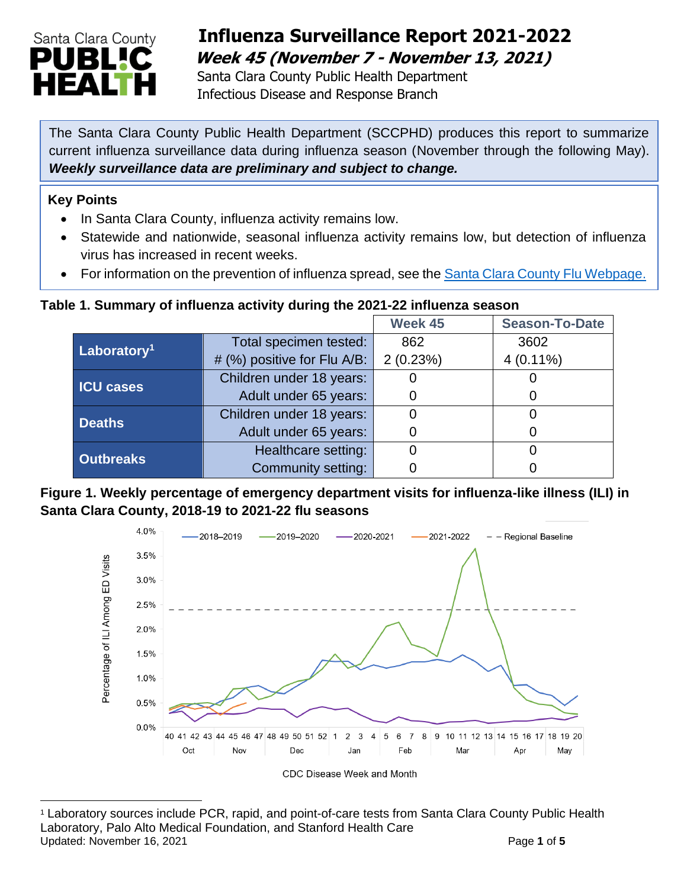

## **Influenza Surveillance Report 2021-2022 Week 45 (November 7 - November 13, 2021)**

 Santa Clara County Public Health Department Infectious Disease and Response Branch

The Santa Clara County Public Health Department (SCCPHD) produces this report to summarize current influenza surveillance data during influenza season (November through the following May). *Weekly surveillance data are preliminary and subject to change.*

### **Key Points**

- In Santa Clara County, influenza activity remains low.
- Statewide and nationwide, seasonal influenza activity remains low, but detection of influenza virus has increased in recent weeks.
- For information on the prevention of influenza spread, see the [Santa Clara County Flu Webpage.](https://publichealth.sccgov.org/disease-information/influenza-flu)

## **Table 1. Summary of influenza activity during the 2021-22 influenza season**

|                         |                             | Week 45  | <b>Season-To-Date</b> |
|-------------------------|-----------------------------|----------|-----------------------|
| Laboratory <sup>1</sup> | Total specimen tested:      | 862      | 3602                  |
|                         | # (%) positive for Flu A/B: | 2(0.23%) | $4(0.11\%)$           |
| <b>ICU cases</b>        | Children under 18 years:    |          |                       |
|                         | Adult under 65 years:       |          | $\Omega$              |
| <b>Deaths</b>           | Children under 18 years:    |          |                       |
|                         | Adult under 65 years:       |          |                       |
| <b>Outbreaks</b>        | Healthcare setting:         |          |                       |
|                         | Community setting:          |          |                       |

### **Figure 1. Weekly percentage of emergency department visits for influenza-like illness (ILI) in Santa Clara County, 2018-19 to 2021-22 flu seasons**



Updated: November 16, 2021 **Page 1** of 5 <sup>1</sup> Laboratory sources include PCR, rapid, and point-of-care tests from Santa Clara County Public Health Laboratory, Palo Alto Medical Foundation, and Stanford Health Care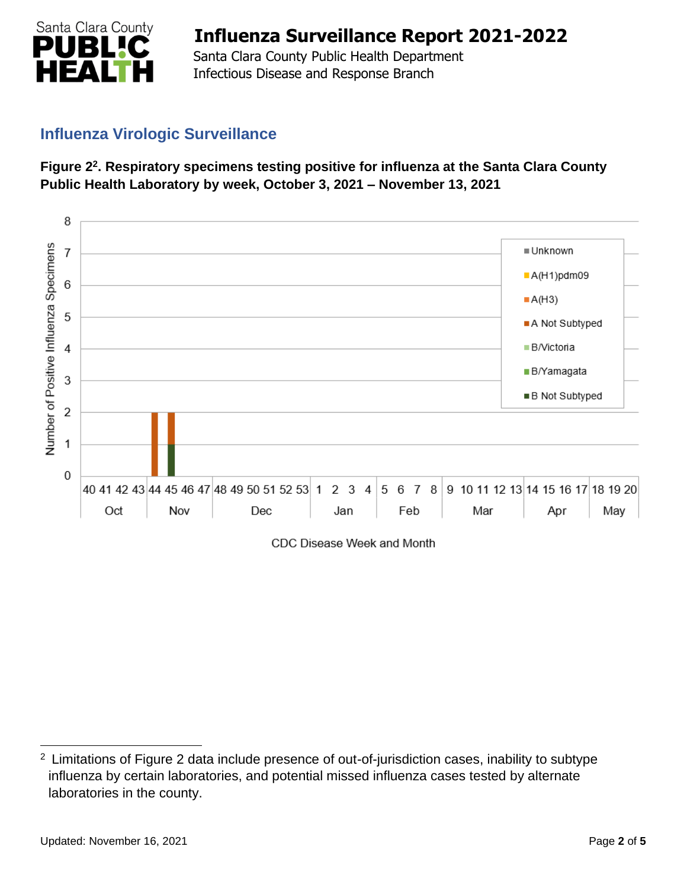

 Santa Clara County Public Health Department Infectious Disease and Response Branch

## **Influenza Virologic Surveillance**





CDC Disease Week and Month

<sup>&</sup>lt;sup>2</sup> Limitations of Figure 2 data include presence of out-of-jurisdiction cases, inability to subtype influenza by certain laboratories, and potential missed influenza cases tested by alternate laboratories in the county.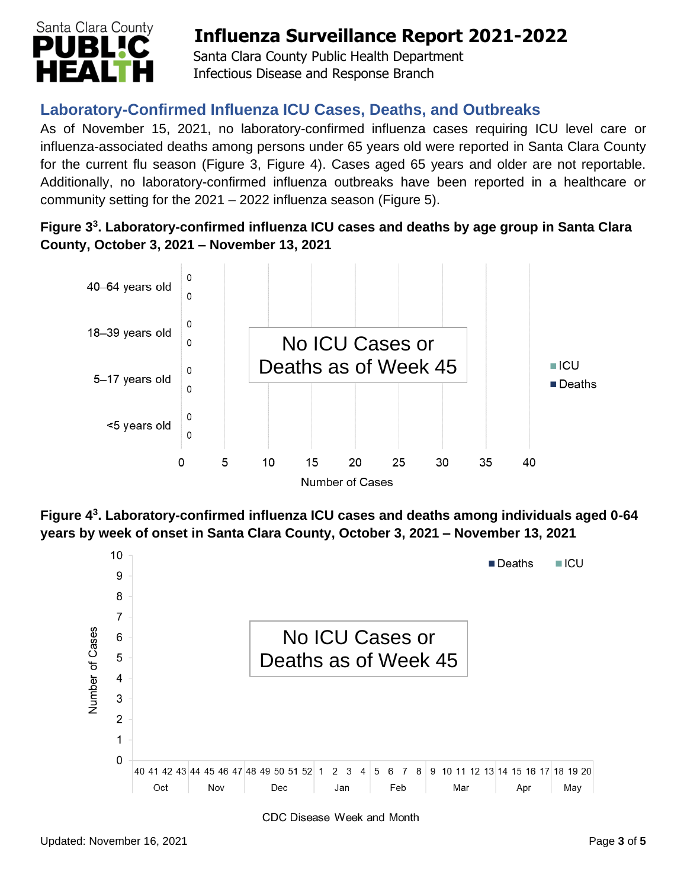

 Santa Clara County Public Health Department Infectious Disease and Response Branch

## **Laboratory-Confirmed Influenza ICU Cases, Deaths, and Outbreaks**

As of November 15, 2021, no laboratory-confirmed influenza cases requiring ICU level care or influenza-associated deaths among persons under 65 years old were reported in Santa Clara County for the current flu season (Figure 3, Figure 4). Cases aged 65 years and older are not reportable. Additionally, no laboratory-confirmed influenza outbreaks have been reported in a healthcare or community setting for the 2021 – 2022 influenza season (Figure 5).

**Figure 3 3 . Laboratory-confirmed influenza ICU cases and deaths by age group in Santa Clara County, October 3, 2021 – November 13, 2021**



**Figure 4 3 . Laboratory-confirmed influenza ICU cases and deaths among individuals aged 0-64 years by week of onset in Santa Clara County, October 3, 2021 – November 13, 2021**



CDC Disease Week and Month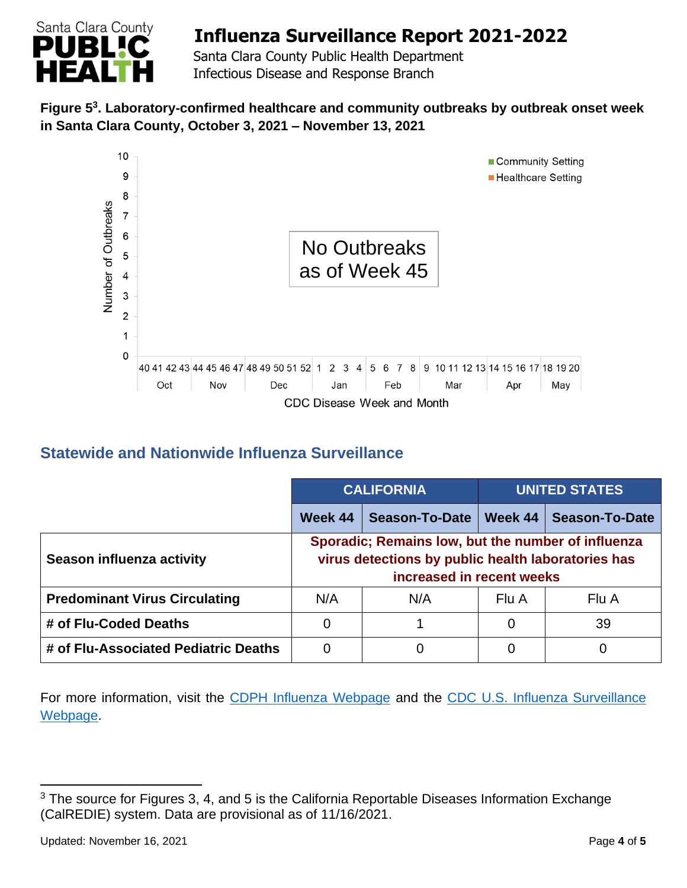

 Santa Clara County Public Health Department Infectious Disease and Response Branch

## **Figure 5 3 . Laboratory-confirmed healthcare and community outbreaks by outbreak onset week in Santa Clara County, October 3, 2021 – November 13, 2021**



## **Statewide and Nationwide Influenza Surveillance**

|                                      | <b>CALIFORNIA</b>                                                                                                                     |                | <b>UNITED STATES</b> |                       |
|--------------------------------------|---------------------------------------------------------------------------------------------------------------------------------------|----------------|----------------------|-----------------------|
|                                      | Week 44                                                                                                                               | Season-To-Date | Week 44              | <b>Season-To-Date</b> |
| Season influenza activity            | Sporadic; Remains low, but the number of influenza<br>virus detections by public health laboratories has<br>increased in recent weeks |                |                      |                       |
| <b>Predominant Virus Circulating</b> | N/A                                                                                                                                   | N/A            | Flu A                | Flu A                 |
| # of Flu-Coded Deaths                | 0                                                                                                                                     |                | 0                    | 39                    |
| # of Flu-Associated Pediatric Deaths | 0                                                                                                                                     | 0              | 0                    | 0                     |

For more information, visit the [CDPH Influenza Webpage](http://www.cdph.ca.gov/Programs/CID/DCDC/Pages/Immunization/Influenza.aspx) and the CDC U.S. Influenza Surveillance [Webpage.](http://www.cdc.gov/flu/weekly/)

<sup>&</sup>lt;sup>3</sup> The source for Figures 3, 4, and 5 is the California Reportable Diseases Information Exchange (CalREDIE) system. Data are provisional as of 11/16/2021.